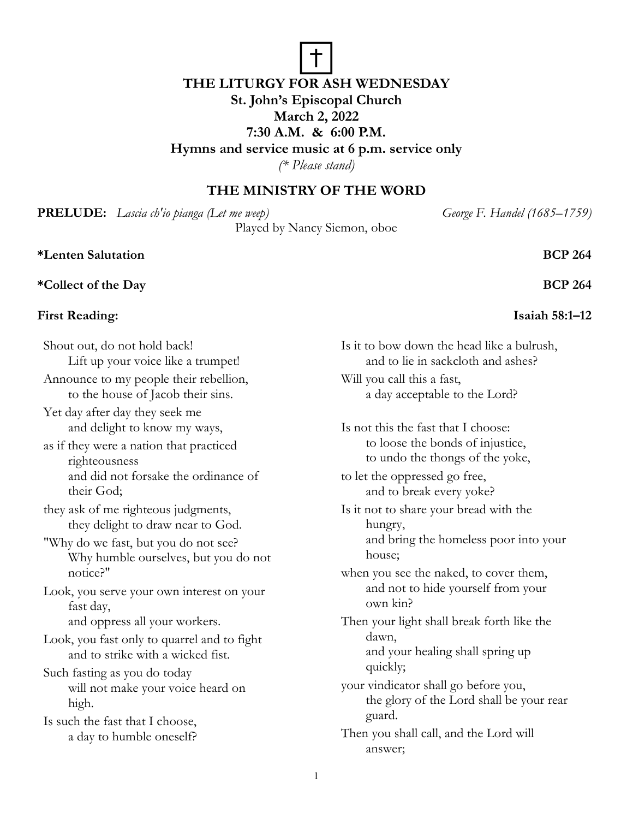**THE LITURGY FOR ASH WEDNESDAY** ✝ **St. John's Episcopal Church March 2, 2022 7:30 A.M. & 6:00 P.M.**

**Hymns and service music at 6 p.m. service only** 

*(\* Please stand)*

**THE MINISTRY OF THE WORD**

**PRELUDE:** *Lascia ch'io pianga (Let me weep)* George F. Handel (1685–1759)

Played by Nancy Siemon, oboe

**\*Lenten Salutation BCP 264**

**\*Collect of the Day BCP 264**

### First Reading: Isaiah 58:1–12

Shout out, do not hold back! Lift up your voice like a trumpet! Announce to my people their rebellion, to the house of Jacob their sins. Yet day after day they seek me and delight to know my ways, as if they were a nation that practiced righteousness and did not forsake the ordinance of their God; they ask of me righteous judgments, they delight to draw near to God. "Why do we fast, but you do not see? Why humble ourselves, but you do not notice?" Look, you serve your own interest on your fast day, and oppress all your workers. Look, you fast only to quarrel and to fight and to strike with a wicked fist. Such fasting as you do today will not make your voice heard on high. Is such the fast that I choose, a day to humble oneself?

Is it to bow down the head like a bulrush, and to lie in sackcloth and ashes? Will you call this a fast, a day acceptable to the Lord? Is not this the fast that I choose: to loose the bonds of injustice, to undo the thongs of the yoke, to let the oppressed go free, and to break every yoke? Is it not to share your bread with the hungry, and bring the homeless poor into your house; when you see the naked, to cover them, and not to hide yourself from your own kin? Then your light shall break forth like the dawn, and your healing shall spring up quickly; your vindicator shall go before you, the glory of the Lord shall be your rear guard. Then you shall call, and the Lord will answer;

1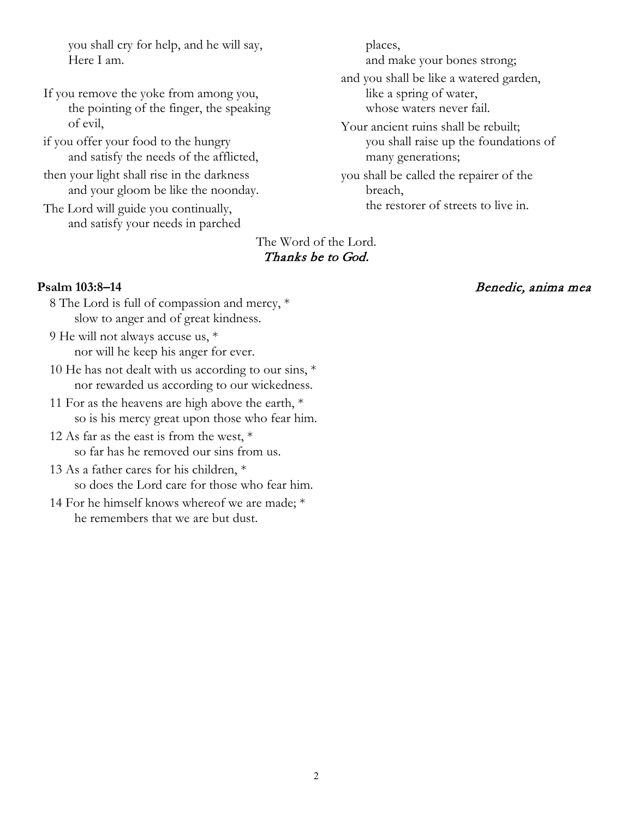you shall cry for help, and he will say, Here I am.

- If you remove the yoke from among you, the pointing of the finger, the speaking of evil,
- if you offer your food to the hungry and satisfy the needs of the afflicted,
- then your light shall rise in the darkness and your gloom be like the noonday.

The Lord will guide you continually, and satisfy your needs in parched

places, and make your bones strong; and you shall be like a watered garden, like a spring of water, whose waters never fail. Your ancient ruins shall be rebuilt; you shall raise up the foundations of many generations; you shall be called the repairer of the breach,

the restorer of streets to live in.

## The Word of the Lord. Thanks be to God.

- 8 The Lord is full of compassion and mercy, \* slow to anger and of great kindness.
- 9 He will not always accuse us, \* nor will he keep his anger for ever.
- 10 He has not dealt with us according to our sins, \* nor rewarded us according to our wickedness.
- 11 For as the heavens are high above the earth,  $*$ so is his mercy great upon those who fear him.
- 12 As far as the east is from the west,  $*$ so far has he removed our sins from us.
- 13 As a father cares for his children, \* so does the Lord care for those who fear him.
- 14 For he himself knows whereof we are made; \* he remembers that we are but dust.

### **Psalm 103:8–14** Benedic, anima mea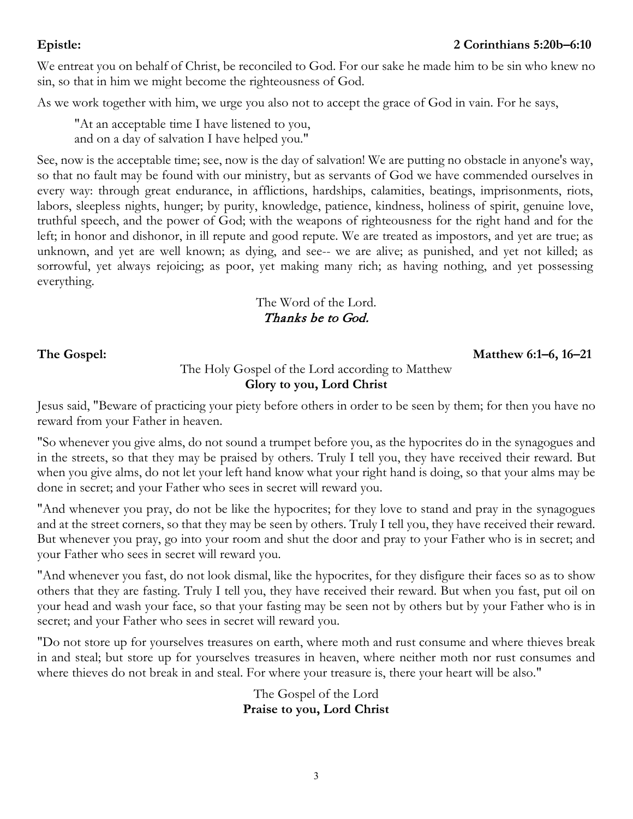## **Epistle: 2 Corinthians 5:20b–6:10**

We entreat you on behalf of Christ, be reconciled to God. For our sake he made him to be sin who knew no sin, so that in him we might become the righteousness of God.

As we work together with him, we urge you also not to accept the grace of God in vain. For he says,

"At an acceptable time I have listened to you, and on a day of salvation I have helped you."

See, now is the acceptable time; see, now is the day of salvation! We are putting no obstacle in anyone's way, so that no fault may be found with our ministry, but as servants of God we have commended ourselves in every way: through great endurance, in afflictions, hardships, calamities, beatings, imprisonments, riots, labors, sleepless nights, hunger; by purity, knowledge, patience, kindness, holiness of spirit, genuine love, truthful speech, and the power of God; with the weapons of righteousness for the right hand and for the left; in honor and dishonor, in ill repute and good repute. We are treated as impostors, and yet are true; as unknown, and yet are well known; as dying, and see-- we are alive; as punished, and yet not killed; as sorrowful, yet always rejoicing; as poor, yet making many rich; as having nothing, and yet possessing everything.

> The Word of the Lord. Thanks be to God.

## **The Gospel: Matthew 6:1–6, 16–21**

# The Holy Gospel of the Lord according to Matthew **Glory to you, Lord Christ**

Jesus said, "Beware of practicing your piety before others in order to be seen by them; for then you have no reward from your Father in heaven.

"So whenever you give alms, do not sound a trumpet before you, as the hypocrites do in the synagogues and in the streets, so that they may be praised by others. Truly I tell you, they have received their reward. But when you give alms, do not let your left hand know what your right hand is doing, so that your alms may be done in secret; and your Father who sees in secret will reward you.

"And whenever you pray, do not be like the hypocrites; for they love to stand and pray in the synagogues and at the street corners, so that they may be seen by others. Truly I tell you, they have received their reward. But whenever you pray, go into your room and shut the door and pray to your Father who is in secret; and your Father who sees in secret will reward you.

"And whenever you fast, do not look dismal, like the hypocrites, for they disfigure their faces so as to show others that they are fasting. Truly I tell you, they have received their reward. But when you fast, put oil on your head and wash your face, so that your fasting may be seen not by others but by your Father who is in secret; and your Father who sees in secret will reward you.

"Do not store up for yourselves treasures on earth, where moth and rust consume and where thieves break in and steal; but store up for yourselves treasures in heaven, where neither moth nor rust consumes and where thieves do not break in and steal. For where your treasure is, there your heart will be also."

> The Gospel of the Lord **Praise to you, Lord Christ**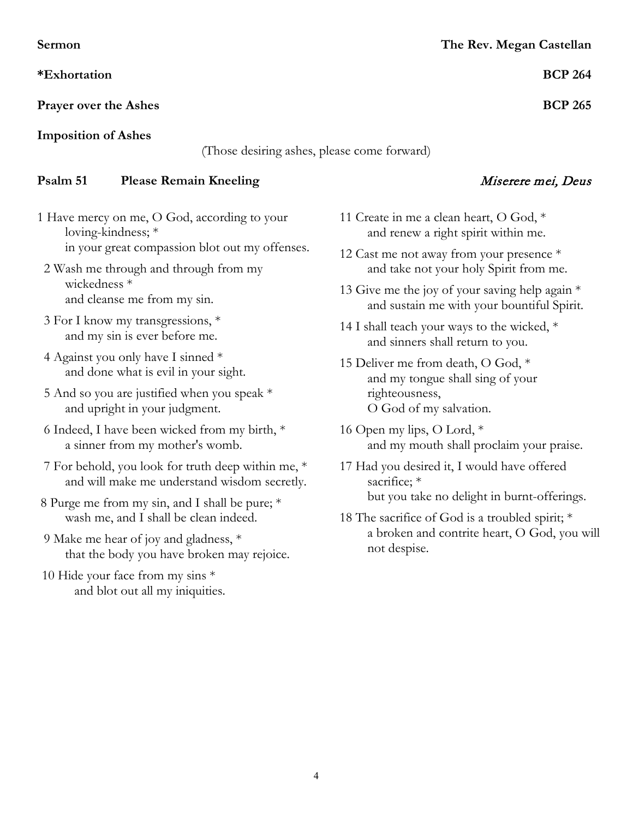### **\*Exhortation BCP 264**

**Prayer over the Ashes BCP** 265

**Imposition of Ashes**

(Those desiring ashes, please come forward)

### Psalm 51 Please Remain Kneeling **Properties and** *Properties* Miserere mei, Deus

- 1 Have mercy on me, O God, according to your loving-kindness; \* in your great compassion blot out my offenses.
- 2 Wash me through and through from my wickedness \* and cleanse me from my sin.
- 3 For I know my transgressions, \* and my sin is ever before me.
- 4 Against you only have I sinned \* and done what is evil in your sight.
- 5 And so you are justified when you speak \* and upright in your judgment.
- 6 Indeed, I have been wicked from my birth, \* a sinner from my mother's womb.
- 7 For behold, you look for truth deep within me, \* and will make me understand wisdom secretly.
- 8 Purge me from my sin, and I shall be pure; \* wash me, and I shall be clean indeed.
- 9 Make me hear of joy and gladness, \* that the body you have broken may rejoice.
- 10 Hide your face from my sins \* and blot out all my iniquities.

## 11 Create in me a clean heart, O God, \* and renew a right spirit within me.

- 12 Cast me not away from your presence \* and take not your holy Spirit from me.
- 13 Give me the joy of your saving help again \* and sustain me with your bountiful Spirit.
- 14 I shall teach your ways to the wicked, \* and sinners shall return to you.
- 15 Deliver me from death, O God, \* and my tongue shall sing of your righteousness, O God of my salvation.
- 16 Open my lips, O Lord, \* and my mouth shall proclaim your praise.
- 17 Had you desired it, I would have offered sacrifice; \* but you take no delight in burnt-offerings.
- 18 The sacrifice of God is a troubled spirit; \* a broken and contrite heart, O God, you will not despise.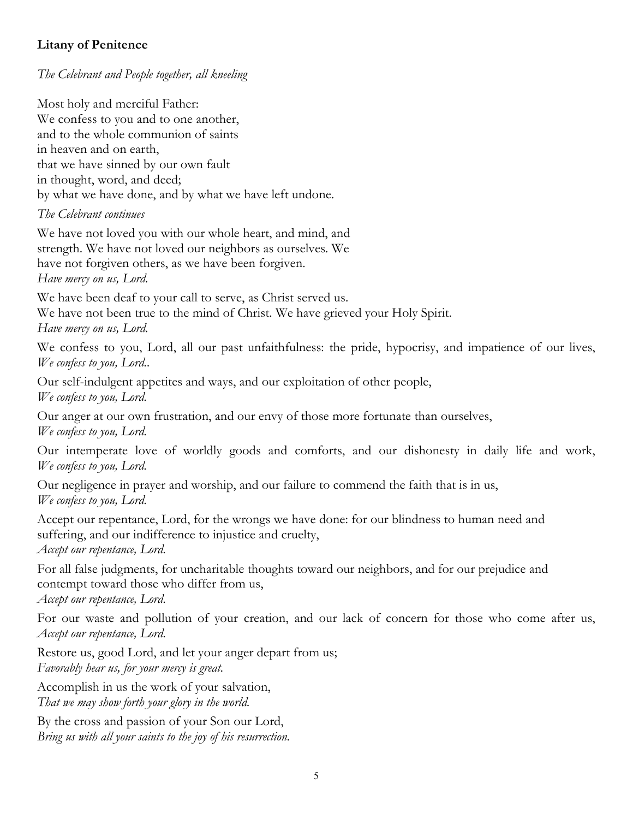# **Litany of Penitence**

*The Celebrant and People together, all kneeling*

Most holy and merciful Father: We confess to you and to one another, and to the whole communion of saints in heaven and on earth, that we have sinned by our own fault in thought, word, and deed; by what we have done, and by what we have left undone.

## *The Celebrant continues*

We have not loved you with our whole heart, and mind, and strength. We have not loved our neighbors as ourselves. We have not forgiven others, as we have been forgiven. *Have mercy on us, Lord.*

We have been deaf to your call to serve, as Christ served us. We have not been true to the mind of Christ. We have grieved your Holy Spirit. *Have mercy on us, Lord.*

We confess to you, Lord, all our past unfaithfulness: the pride, hypocrisy, and impatience of our lives, *We confess to you, Lord..*

Our self-indulgent appetites and ways, and our exploitation of other people, *We confess to you, Lord.*

Our anger at our own frustration, and our envy of those more fortunate than ourselves, *We confess to you, Lord.*

Our intemperate love of worldly goods and comforts, and our dishonesty in daily life and work, *We confess to you, Lord.*

Our negligence in prayer and worship, and our failure to commend the faith that is in us, *We confess to you, Lord.*

Accept our repentance, Lord, for the wrongs we have done: for our blindness to human need and suffering, and our indifference to injustice and cruelty,

*Accept our repentance, Lord.*

For all false judgments, for uncharitable thoughts toward our neighbors, and for our prejudice and contempt toward those who differ from us,

*Accept our repentance, Lord.*

For our waste and pollution of your creation, and our lack of concern for those who come after us, *Accept our repentance, Lord.*

Restore us, good Lord, and let your anger depart from us; *Favorably hear us, for your mercy is great.*

Accomplish in us the work of your salvation,

*That we may show forth your glory in the world.*

By the cross and passion of your Son our Lord, *Bring us with all your saints to the joy of his resurrection.*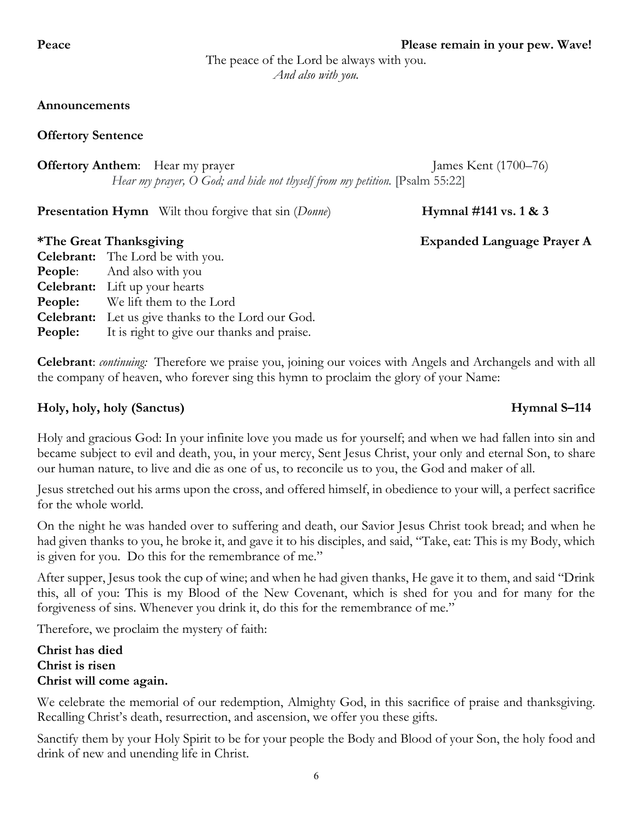The peace of the Lord be always with you.

*And also with you.*

## **Announcements**

# **Offertory Sentence**

**Offertory Anthem:** Hear my prayer James Kent (1700–76) *Hear my prayer, O God; and hide not thyself from my petition.* [Psalm 55:22]

**Presentation Hymn** Wilt thou forgive that sin (*Donne*) **Hymnal #141 vs. 1 & 3** 

**\*The Great Thanksgiving Expanded Language Prayer A**

| <b>Celebrant:</b> The Lord be with you.                   |
|-----------------------------------------------------------|
| <b>People:</b> And also with you                          |
| <b>Celebrant:</b> Lift up your hearts                     |
| <b>People:</b> We lift them to the Lord                   |
| <b>Celebrant:</b> Let us give thanks to the Lord our God. |
| <b>People:</b> It is right to give our thanks and praise. |

**Celebrant**: *continuing:* Therefore we praise you, joining our voices with Angels and Archangels and with all the company of heaven, who forever sing this hymn to proclaim the glory of your Name:

# **Holy, holy, holy (Sanctus) Hymnal S–114**

Holy and gracious God: In your infinite love you made us for yourself; and when we had fallen into sin and became subject to evil and death, you, in your mercy, Sent Jesus Christ, your only and eternal Son, to share our human nature, to live and die as one of us, to reconcile us to you, the God and maker of all.

Jesus stretched out his arms upon the cross, and offered himself, in obedience to your will, a perfect sacrifice for the whole world.

On the night he was handed over to suffering and death, our Savior Jesus Christ took bread; and when he had given thanks to you, he broke it, and gave it to his disciples, and said, "Take, eat: This is my Body, which is given for you. Do this for the remembrance of me."

After supper, Jesus took the cup of wine; and when he had given thanks, He gave it to them, and said "Drink this, all of you: This is my Blood of the New Covenant, which is shed for you and for many for the forgiveness of sins. Whenever you drink it, do this for the remembrance of me."

Therefore, we proclaim the mystery of faith:

## **Christ has died Christ is risen Christ will come again.**

We celebrate the memorial of our redemption, Almighty God, in this sacrifice of praise and thanksgiving. Recalling Christ's death, resurrection, and ascension, we offer you these gifts.

Sanctify them by your Holy Spirit to be for your people the Body and Blood of your Son, the holy food and drink of new and unending life in Christ.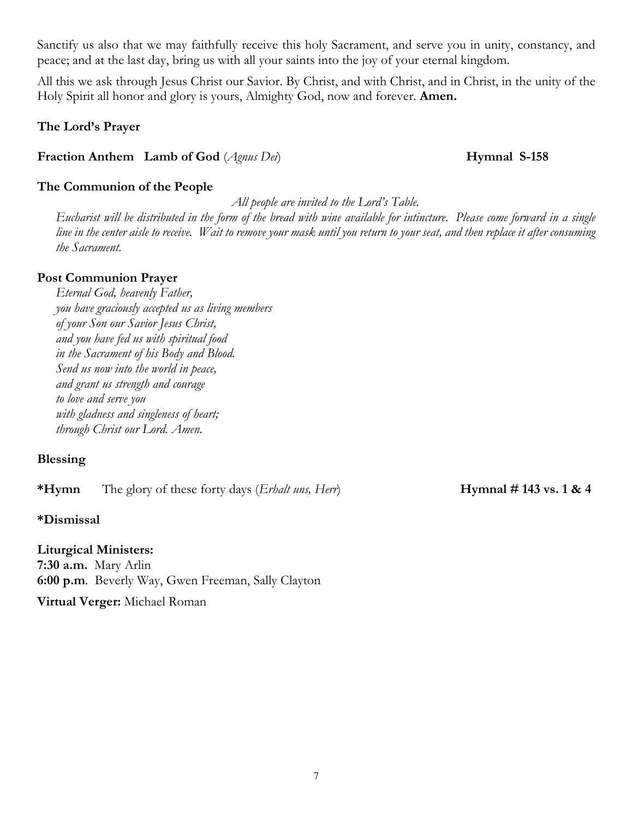Sanctify us also that we may faithfully receive this holy Sacrament, and serve you in unity, constancy, and peace; and at the last day, bring us with all your saints into the joy of your eternal kingdom.

All this we ask through Jesus Christ our Savior. By Christ, and with Christ, and in Christ, in the unity of the Holy Spirit all honor and glory is yours, Almighty God, now and forever. **Amen.**

# **The Lord's Prayer**

# **Fraction Anthem Lamb of God** (*Agnus Dei*) **Hymnal S-158**

# **The Communion of the People**

*All people are invited to the Lord's Table.*

*Eucharist will be distributed in the form of the bread with wine available for intincture. Please come forward in a single line in the center aisle to receive. Wait to remove your mask until you return to your seat, and then replace it after consuming the Sacrament.* 

# **Post Communion Prayer**

*Eternal God, heavenly Father, you have graciously accepted us as living members of your Son our Savior Jesus Christ, and you have fed us with spiritual food in the Sacrament of his Body and Blood. Send us now into the world in peace, and grant us strength and courage to love and serve you with gladness and singleness of heart; through Christ our Lord. Amen*.

# **Blessing**

**\*Hymn** The glory of these forty days (*Erhalt uns, Herr*) **Hymnal # 143 vs. 1 & 4**

# **\*Dismissal**

**Liturgical Ministers: 7:30 a.m.** Mary Arlin **6:00 p.m**. Beverly Way, Gwen Freeman, Sally Clayton

**Virtual Verger:** Michael Roman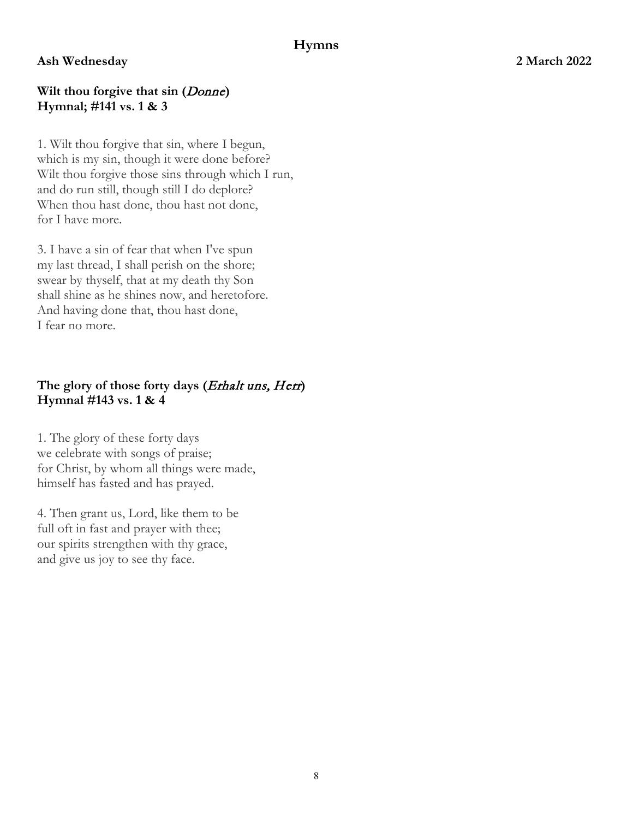# **Ash Wednesday 2 March 2022**

## **Wilt thou forgive that sin (**Donne**) Hymnal; #141 vs. 1 & 3**

1. Wilt thou forgive that sin, where I begun, which is my sin, though it were done before? Wilt thou forgive those sins through which I run, and do run still, though still I do deplore? When thou hast done, thou hast not done, for I have more.

3. I have a sin of fear that when I've spun my last thread, I shall perish on the shore; swear by thyself, that at my death thy Son shall shine as he shines now, and heretofore. And having done that, thou hast done, I fear no more.

# **The glory of those forty days (**Erhalt uns, Herr**) Hymnal #143 vs. 1 & 4**

1. The glory of these forty days we celebrate with songs of praise; for Christ, by whom all things were made, himself has fasted and has prayed.

4. Then grant us, Lord, like them to be full oft in fast and prayer with thee; our spirits strengthen with thy grace, and give us joy to see thy face.